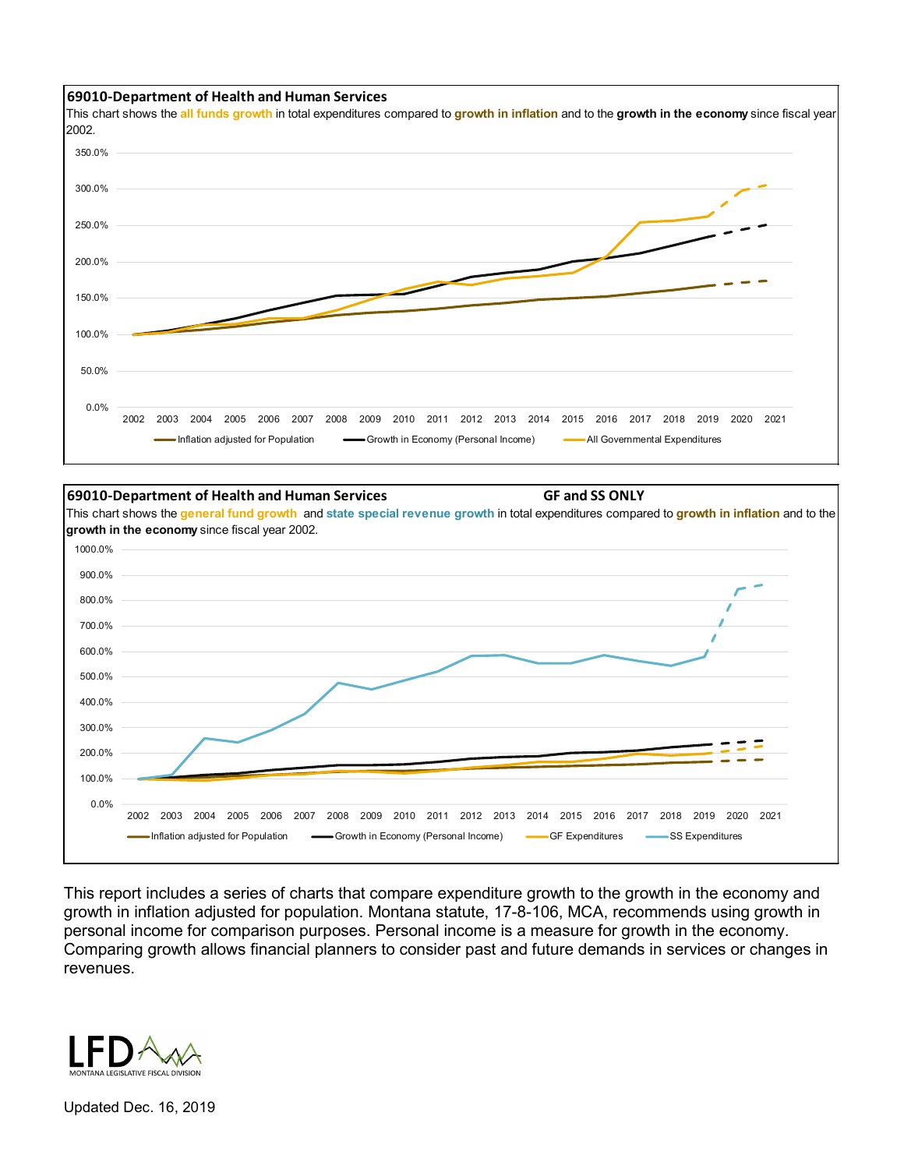

This chart shows the **all funds growth** in total expenditures compared to **growth in inflation** and to the **growth in the economy** since fiscal year 2002.





This report includes a series of charts that compare expenditure growth to the growth in the economy and growth in inflation adjusted for population. Montana statute, 17-8-106, MCA, recommends using growth in personal income for comparison purposes. Personal income is a measure for growth in the economy. Comparing growth allows financial planners to consider past and future demands in services or changes in revenues.



Updated Dec. 16, 2019